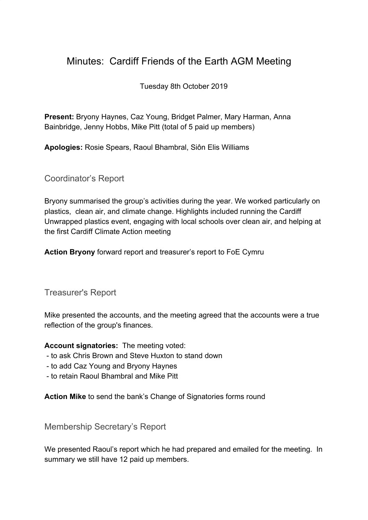## Minutes: Cardiff Friends of the Earth AGM Meeting

Tuesday 8th October 2019

**Present:** Bryony Haynes, Caz Young, Bridget Palmer, Mary Harman, Anna Bainbridge, Jenny Hobbs, Mike Pitt (total of 5 paid up members)

**Apologies:** Rosie Spears, Raoul Bhambral, Siôn Elis Williams

Coordinator's Report

Bryony summarised the group's activities during the year. We worked particularly on plastics, clean air, and climate change. Highlights included running the Cardiff Unwrapped plastics event, engaging with local schools over clean air, and helping at the first Cardiff Climate Action meeting

**Action Bryony** forward report and treasurer's report to FoE Cymru

Treasurer's Report

Mike presented the accounts, and the meeting agreed that the accounts were a true reflection of the group's finances.

**Account signatories:** The meeting voted:

- to ask Chris Brown and Steve Huxton to stand down
- to add Caz Young and Bryony Haynes
- to retain Raoul Bhambral and Mike Pitt

**Action Mike** to send the bank's Change of Signatories forms round

Membership Secretary's Report

We presented Raoul's report which he had prepared and emailed for the meeting. In summary we still have 12 paid up members.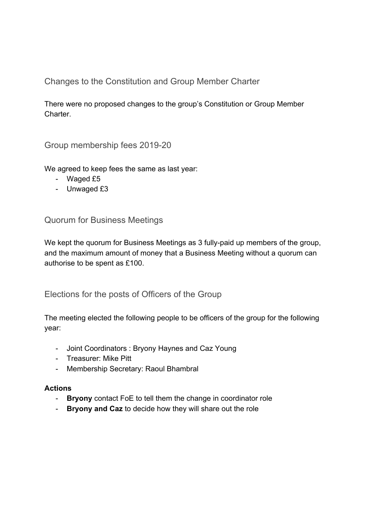Changes to the Constitution and Group Member Charter

There were no proposed changes to the group's Constitution or Group Member Charter.

Group membership fees 2019-20

We agreed to keep fees the same as last year:

- Waged £5
- Unwaged £3

Quorum for Business Meetings

We kept the quorum for Business Meetings as 3 fully-paid up members of the group, and the maximum amount of money that a Business Meeting without a quorum can authorise to be spent as £100.

Elections for the posts of Officers of the Group

The meeting elected the following people to be officers of the group for the following year:

- Joint Coordinators : Bryony Haynes and Caz Young
- Treasurer: Mike Pitt
- Membership Secretary: Raoul Bhambral

## **Actions**

- **Bryony** contact FoE to tell them the change in coordinator role
- **Bryony and Caz** to decide how they will share out the role